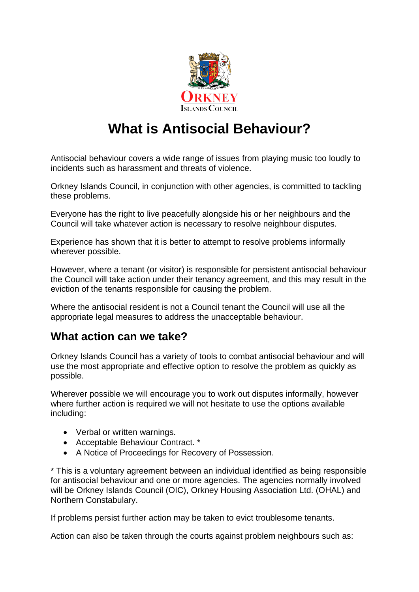

# **What is Antisocial Behaviour?**

Antisocial behaviour covers a wide range of issues from playing music too loudly to incidents such as harassment and threats of violence.

Orkney Islands Council, in conjunction with other agencies, is committed to tackling these problems.

Everyone has the right to live peacefully alongside his or her neighbours and the Council will take whatever action is necessary to resolve neighbour disputes.

Experience has shown that it is better to attempt to resolve problems informally wherever possible.

However, where a tenant (or visitor) is responsible for persistent antisocial behaviour the Council will take action under their tenancy agreement, and this may result in the eviction of the tenants responsible for causing the problem.

Where the antisocial resident is not a Council tenant the Council will use all the appropriate legal measures to address the unacceptable behaviour.

#### **What action can we take?**

Orkney Islands Council has a variety of tools to combat antisocial behaviour and will use the most appropriate and effective option to resolve the problem as quickly as possible.

Wherever possible we will encourage you to work out disputes informally, however where further action is required we will not hesitate to use the options available including:

- Verbal or written warnings.
- Acceptable Behaviour Contract. \*
- A Notice of Proceedings for Recovery of Possession.

\* This is a voluntary agreement between an individual identified as being responsible for antisocial behaviour and one or more agencies. The agencies normally involved will be Orkney Islands Council (OIC), Orkney Housing Association Ltd. (OHAL) and Northern Constabulary.

If problems persist further action may be taken to evict troublesome tenants.

Action can also be taken through the courts against problem neighbours such as: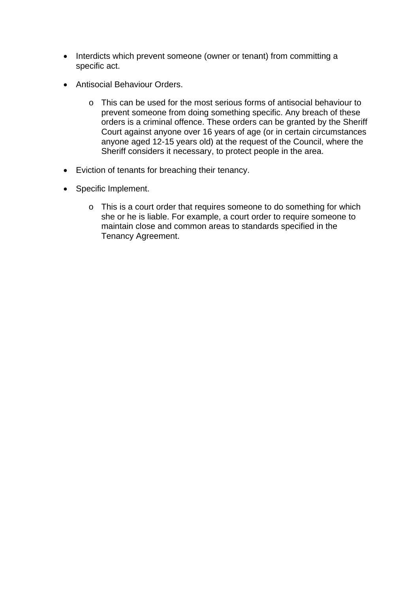- Interdicts which prevent someone (owner or tenant) from committing a specific act.
- Antisocial Behaviour Orders.
	- o This can be used for the most serious forms of antisocial behaviour to prevent someone from doing something specific. Any breach of these orders is a criminal offence. These orders can be granted by the Sheriff Court against anyone over 16 years of age (or in certain circumstances anyone aged 12-15 years old) at the request of the Council, where the Sheriff considers it necessary, to protect people in the area.
- Eviction of tenants for breaching their tenancy.
- Specific Implement.
	- o This is a court order that requires someone to do something for which she or he is liable. For example, a court order to require someone to maintain close and common areas to standards specified in the Tenancy Agreement.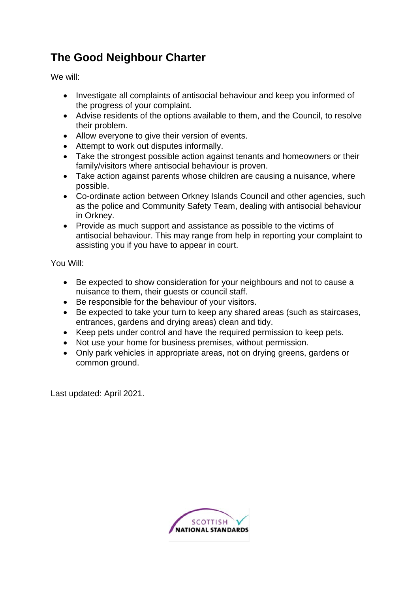# **The Good Neighbour Charter**

We will:

- Investigate all complaints of antisocial behaviour and keep you informed of the progress of your complaint.
- Advise residents of the options available to them, and the Council, to resolve their problem.
- Allow everyone to give their version of events.
- Attempt to work out disputes informally.
- Take the strongest possible action against tenants and homeowners or their family/visitors where antisocial behaviour is proven.
- Take action against parents whose children are causing a nuisance, where possible.
- Co-ordinate action between Orkney Islands Council and other agencies, such as the police and Community Safety Team, dealing with antisocial behaviour in Orkney.
- Provide as much support and assistance as possible to the victims of antisocial behaviour. This may range from help in reporting your complaint to assisting you if you have to appear in court.

You Will:

- Be expected to show consideration for your neighbours and not to cause a nuisance to them, their guests or council staff.
- Be responsible for the behaviour of your visitors.
- Be expected to take your turn to keep any shared areas (such as staircases, entrances, gardens and drying areas) clean and tidy.
- Keep pets under control and have the required permission to keep pets.
- Not use your home for business premises, without permission.
- Only park vehicles in appropriate areas, not on drying greens, gardens or common ground.

Last updated: April 2021.

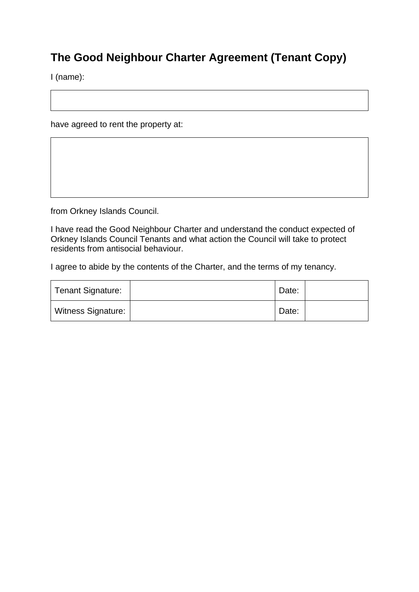## **The Good Neighbour Charter Agreement (Tenant Copy)**

I (name):

have agreed to rent the property at:

from Orkney Islands Council.

I have read the Good Neighbour Charter and understand the conduct expected of Orkney Islands Council Tenants and what action the Council will take to protect residents from antisocial behaviour.

I agree to abide by the contents of the Charter, and the terms of my tenancy.

| Tenant Signature:         | Date: |  |
|---------------------------|-------|--|
| <b>Witness Signature:</b> | Date: |  |